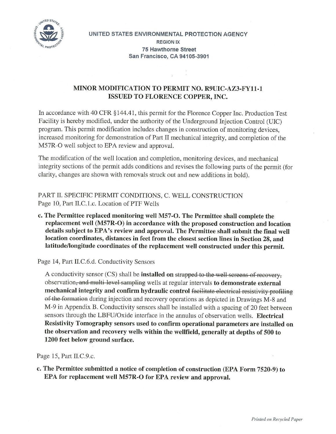

**UNITED STATES ENVIRONMENTAL PROTECTION AGENCY REGION IX 75 Hawthorne Street San Francisco, CA 94105-3901** 

## **MINOR MODIFICATION TO PERMIT NO. R9UIC-AZ3-FY11-1 ISSUED TO FLORENCE COPPER, INC.**

In accordance with 40 CFR §144.41, this permit for the Florence Copper Inc. Production Test Facility is hereby modified, under the authority of the Underground Injection Control (UIC) program. This permit modification includes changes in construction of monitoring devices, increased monitoring for demonstration of Part II mechanical integrity, and completion of the M57R-O well subject to EPA review and approval.

The modification of the well location and completion, monitoring devices, and mechanical integrity sections of the permit adds conditions and revises the following parts of the permit (for clarity, changes are shown with removals struck out and new additions in bold).

PART II. SPECIFIC PERMIT CONDITIONS, C. WELL CONSTRUCTION Page 10, Part II.C.1.c. Location of PTF Wells

**c. The Permittee replaced monitoring well M57-O. The Permittee shall complete the replacement well (M57R-O) in accordance with the proposed construction and location details subject to EPA's review and approval. The Permittee shall submit the final well location coordinates, distances in feet from the closest section lines in Section 28, and latitude/longitude coordinates of the replacement well constructed under this permit.** 

Page 14, Part II.C.6.d. Conductivity Sensors

A conductivity sensor (CS) shall be **installed on** strapped to the well screens of recovery, observation, and multi level sampling wells at regular intervals **to demonstrate external mechanical integrity and confirm hydraulic control** facilitate electrical resistivity profiling of the formation during injection and recovery operations as depicted in Drawings M-8 and M-9 in Appendix B. Conductivity sensors shall be installed with a spacing of 20 feet between sensors through the LBFU/Oxide interface in the annulus of observation wells. **Electrical Resistivity Tomography sensors used to confirm operational parameters are installed on the observation and recovery wells within the wellfield, generally at depths of 500 to 1200 feet below ground surface.** 

Page 15, Part II.C.9.c.

**c. The Permittee submitted a notice of completion of construction (EPA Form 7520-9) to EPA for replacement well M57R-O for EPA review and approval.**